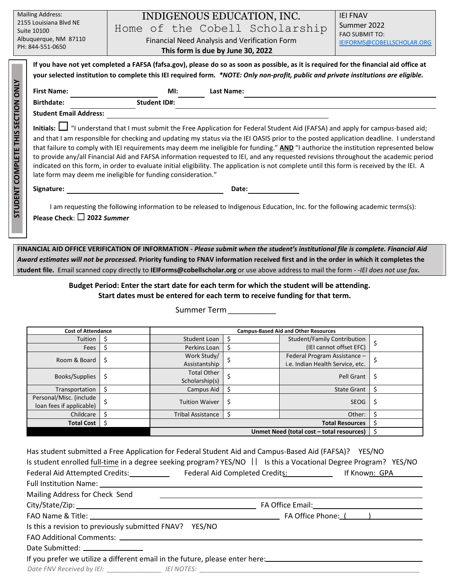| <b>Mailing Address:</b><br>2155 Louisiana Blvd NE<br>Suite 10100<br>Albuquerque, NM 87110<br>PH: 844-551-0650 |                                                                                                                                                                                                                                                                                                                                 | INDIGENOUS EDUCATION, INC.<br>Home of the Cobell Scholarship<br>Financial Need Analysis and Verification Form<br>This form is due by June 30, 2022 | <b>IEI FNAV</b><br>Summer 2022<br><b>FAO SUBMIT TO:</b><br>IEIFORMS@COBELLSCHOLAR.ORG |  |  |  |  |  |
|---------------------------------------------------------------------------------------------------------------|---------------------------------------------------------------------------------------------------------------------------------------------------------------------------------------------------------------------------------------------------------------------------------------------------------------------------------|----------------------------------------------------------------------------------------------------------------------------------------------------|---------------------------------------------------------------------------------------|--|--|--|--|--|
| <b>STUDENT COMPLETE THIS SECTION ONLY</b>                                                                     | If you have not yet completed a FAFSA (fafsa.gov), please do so as soon as possible, as it is required for the financial aid office at<br>your selected institution to complete this IEI required form. *NOTE: Only non-profit, public and private institutions are eligible.<br><b>First Name:</b><br>Ml:<br><b>Last Name:</b> |                                                                                                                                                    |                                                                                       |  |  |  |  |  |
|                                                                                                               | <b>Birthdate:</b>                                                                                                                                                                                                                                                                                                               | <b>Student ID#:</b>                                                                                                                                |                                                                                       |  |  |  |  |  |
|                                                                                                               | <b>Student Email Address:</b>                                                                                                                                                                                                                                                                                                   |                                                                                                                                                    |                                                                                       |  |  |  |  |  |
|                                                                                                               | Initials: I "I understand that I must submit the Free Application for Federal Student Aid (FAFSA) and apply for campus-based aid;                                                                                                                                                                                               |                                                                                                                                                    |                                                                                       |  |  |  |  |  |
|                                                                                                               | and that I am responsible for checking and updating my status via the IEI OASIS prior to the posted application deadline. I understand                                                                                                                                                                                          |                                                                                                                                                    |                                                                                       |  |  |  |  |  |
|                                                                                                               | that failure to comply with IEI requirements may deem me ineligible for funding." AND "I authorize the institution represented below                                                                                                                                                                                            |                                                                                                                                                    |                                                                                       |  |  |  |  |  |
|                                                                                                               | to provide any/all Financial Aid and FAFSA information requested to IEI, and any requested revisions throughout the academic period                                                                                                                                                                                             |                                                                                                                                                    |                                                                                       |  |  |  |  |  |
|                                                                                                               | indicated on this form, in order to evaluate initial eligibility. The application is not complete until this form is received by the IEI. A<br>late form may deem me ineligible for funding consideration."                                                                                                                     |                                                                                                                                                    |                                                                                       |  |  |  |  |  |
|                                                                                                               |                                                                                                                                                                                                                                                                                                                                 |                                                                                                                                                    |                                                                                       |  |  |  |  |  |
|                                                                                                               | Signature:                                                                                                                                                                                                                                                                                                                      | Date:                                                                                                                                              |                                                                                       |  |  |  |  |  |
|                                                                                                               | I am requesting the following information to be released to Indigenous Education, Inc. for the following academic terms(s):                                                                                                                                                                                                     |                                                                                                                                                    |                                                                                       |  |  |  |  |  |
|                                                                                                               | Please Check: $\square$ 2022 Summer                                                                                                                                                                                                                                                                                             |                                                                                                                                                    |                                                                                       |  |  |  |  |  |
|                                                                                                               |                                                                                                                                                                                                                                                                                                                                 |                                                                                                                                                    |                                                                                       |  |  |  |  |  |
|                                                                                                               |                                                                                                                                                                                                                                                                                                                                 |                                                                                                                                                    |                                                                                       |  |  |  |  |  |

**FINANCIAL AID OFFICE VERIFICATION OF INFORMATION -** *Please submit when the student's institutional file is complete. Financial Aid Award estimates will not be processed.* **Priority funding to FNAV information received first and in the order in which it completes the student file.** Email scanned copy directly to **IEIForms@cobellscholar.org** or use above address to mail the form - -*IEI does not use fax***.** 

# **Budget Period: Enter the start date for each term for which the student will be attending. Start dates must be entered for each term to receive funding for that term.**

Summer Term \_\_\_\_\_\_\_\_\_\_\_\_\_

| <b>Cost of Attendance</b>                           |    | <b>Campus-Based Aid and Other Resources</b>      |    |                                                                  |     |
|-----------------------------------------------------|----|--------------------------------------------------|----|------------------------------------------------------------------|-----|
| Tuition                                             |    | Student Loan                                     | C  | <b>Student/Family Contribution</b>                               | Ş   |
| Fees                                                |    | Perkins Loan                                     | Ś  | (IEI cannot offset EFC)                                          |     |
| Room & Board                                        | \$ | Work Study/<br>Assistantship                     |    | Federal Program Assistance -<br>i.e. Indian Health Service, etc. | S   |
| Books/Supplies                                      | \$ | <b>Total Other</b><br>Scholarship(s)             |    | Pell Grant                                                       | \$. |
| Transportation                                      |    | Campus Aid                                       | \$ | <b>State Grant</b>                                               | \$  |
| Personal/Misc. (include<br>loan fees if applicable) |    | <b>Tuition Waiver</b>                            | \$ | <b>SEOG</b>                                                      | \$  |
| Childcare                                           |    | <b>Tribal Assistance</b>                         | \$ | Other:                                                           | Ś   |
| <b>Total Cost</b>                                   |    | <b>Total Resources</b>                           |    |                                                                  | ১   |
|                                                     |    | Unmet Need (total cost - total resources)<br>\$, |    |                                                                  |     |

| Has student submitted a Free Application for Federal Student Aid and Campus-Based Aid (FAFSA)? YES/NO<br>Is student enrolled full-time in a degree seeking program? YES/NO    Is this a Vocational Degree Program? YES/NO |  |  |  |  |  |  |  |  |
|---------------------------------------------------------------------------------------------------------------------------------------------------------------------------------------------------------------------------|--|--|--|--|--|--|--|--|
| Federal Aid Attempted Credits: ________________ Federal Aid Completed Credits: ________________ If Known: GPA                                                                                                             |  |  |  |  |  |  |  |  |
|                                                                                                                                                                                                                           |  |  |  |  |  |  |  |  |
| Mailing Address for Check Send                                                                                                                                                                                            |  |  |  |  |  |  |  |  |
|                                                                                                                                                                                                                           |  |  |  |  |  |  |  |  |
|                                                                                                                                                                                                                           |  |  |  |  |  |  |  |  |
| Is this a revision to previously submitted FNAV? YES/NO                                                                                                                                                                   |  |  |  |  |  |  |  |  |
|                                                                                                                                                                                                                           |  |  |  |  |  |  |  |  |
| Date Submitted: ________________                                                                                                                                                                                          |  |  |  |  |  |  |  |  |
| If you prefer we utilize a different email in the future, please enter here: _________________________________                                                                                                            |  |  |  |  |  |  |  |  |
| Date FNV Received by IEI: _______________________ IEI NOTES: ____________________                                                                                                                                         |  |  |  |  |  |  |  |  |